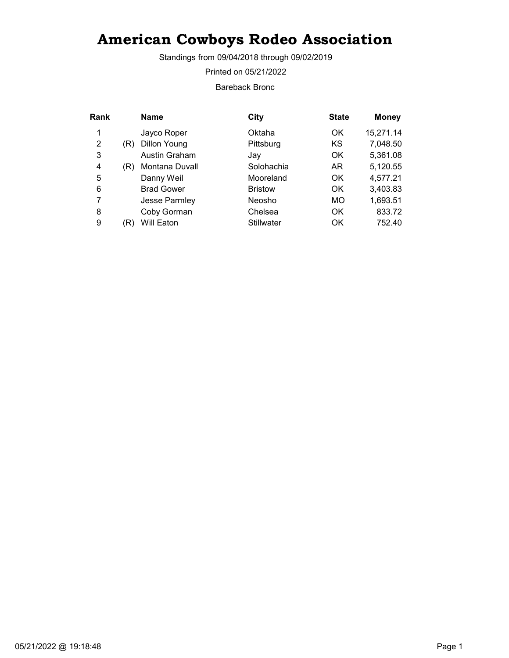Standings from 09/04/2018 through 09/02/2019

Printed on 05/21/2022

Bareback Bronc

| Rank |     | <b>Name</b>          | City              | <b>State</b> | <b>Money</b> |
|------|-----|----------------------|-------------------|--------------|--------------|
| 1    |     | Jayco Roper          | Oktaha            | OK           | 15,271.14    |
| 2    | (R) | <b>Dillon Young</b>  | Pittsburg         | KS           | 7,048.50     |
| 3    |     | <b>Austin Graham</b> | Jav               | OK           | 5,361.08     |
| 4    | (R) | Montana Duvall       | Solohachia        | AR.          | 5,120.55     |
| 5    |     | Danny Weil           | Mooreland         | OK           | 4,577.21     |
| 6    |     | <b>Brad Gower</b>    | <b>Bristow</b>    | OK.          | 3,403.83     |
| 7    |     | Jesse Parmley        | Neosho            | <b>MO</b>    | 1,693.51     |
| 8    |     | Coby Gorman          | Chelsea           | OK           | 833.72       |
| 9    | (R) | Will Eaton           | <b>Stillwater</b> | OK           | 752.40       |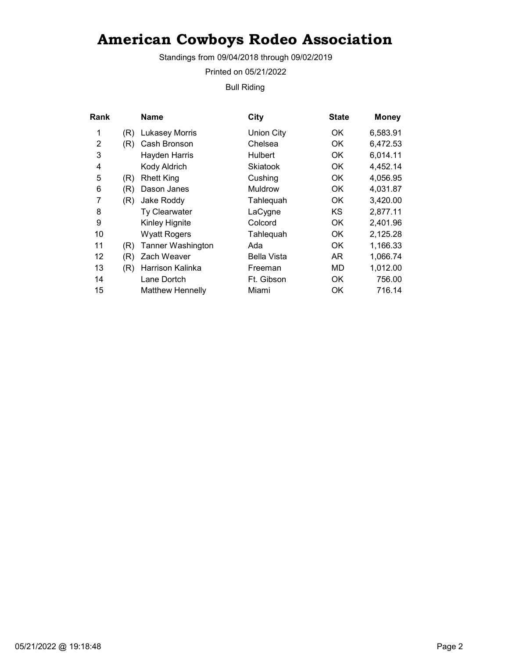Standings from 09/04/2018 through 09/02/2019

Printed on 05/21/2022

Bull Riding

| Rank |     | <b>Name</b>             | <b>City</b>       | <b>State</b> | <b>Money</b> |
|------|-----|-------------------------|-------------------|--------------|--------------|
| 1    | (R) | <b>Lukasey Morris</b>   | <b>Union City</b> | OK.          | 6,583.91     |
| 2    | (R) | Cash Bronson            | Chelsea           | OK           | 6,472.53     |
| 3    |     | Hayden Harris           | <b>Hulbert</b>    | OK.          | 6,014.11     |
| 4    |     | Kody Aldrich            | Skiatook          | 0K           | 4,452.14     |
| 5    | (R) | <b>Rhett King</b>       | Cushing           | OK           | 4,056.95     |
| 6    | (R) | Dason Janes             | <b>Muldrow</b>    | OK.          | 4,031.87     |
| 7    | (R) | Jake Roddy              | Tahlequah         | OK.          | 3,420.00     |
| 8    |     | <b>Ty Clearwater</b>    | LaCygne           | KS           | 2,877.11     |
| 9    |     | Kinley Hignite          | Colcord           | 0K           | 2,401.96     |
| 10   |     | <b>Wyatt Rogers</b>     | Tahlequah         | OK.          | 2,125.28     |
| 11   | (R) | Tanner Washington       | Ada               | OK           | 1,166.33     |
| 12   | (R) | Zach Weaver             | Bella Vista       | AR.          | 1,066.74     |
| 13   | (R) | Harrison Kalinka        | Freeman           | MD           | 1,012.00     |
| 14   |     | Lane Dortch             | Ft. Gibson        | <b>OK</b>    | 756.00       |
| 15   |     | <b>Matthew Hennelly</b> | Miami             | OK           | 716.14       |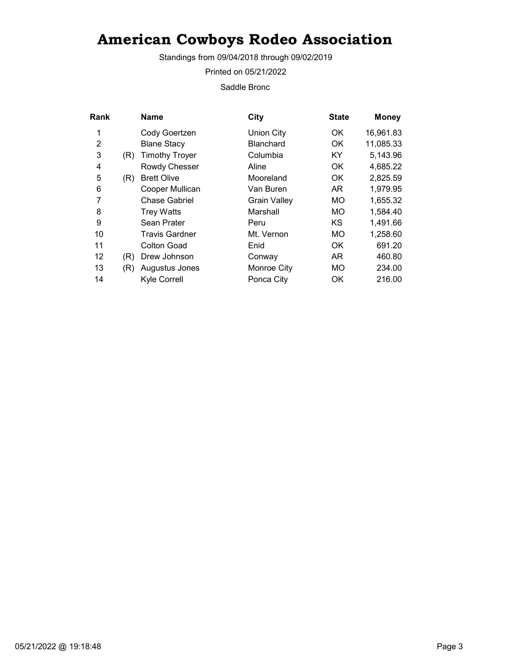Standings from 09/04/2018 through 09/02/2019

Printed on 05/21/2022

Saddle Bronc

| Rank |     | <b>Name</b>           | City                | <b>State</b> | <b>Money</b> |
|------|-----|-----------------------|---------------------|--------------|--------------|
| 1    |     | Cody Goertzen         | <b>Union City</b>   | OK           | 16,961.83    |
| 2    |     | <b>Blane Stacy</b>    | <b>Blanchard</b>    | OK.          | 11,085.33    |
| 3    | (R) | <b>Timothy Troyer</b> | Columbia            | KY.          | 5,143.96     |
| 4    |     | Rowdy Chesser         | Aline               | OK.          | 4,685.22     |
| 5    | (R) | <b>Brett Olive</b>    | Mooreland           | OK.          | 2,825.59     |
| 6    |     | Cooper Mullican       | Van Buren           | AR.          | 1,979.95     |
| 7    |     | <b>Chase Gabriel</b>  | <b>Grain Valley</b> | <b>MO</b>    | 1,655.32     |
| 8    |     | <b>Trey Watts</b>     | Marshall            | MO           | 1,584.40     |
| 9    |     | Sean Prater           | Peru                | KS           | 1,491.66     |
| 10   |     | <b>Travis Gardner</b> | Mt. Vernon          | <b>MO</b>    | 1,258.60     |
| 11   |     | Colton Goad           | Enid                | OK.          | 691.20       |
| 12   | (R) | Drew Johnson          | Conway              | AR           | 460.80       |
| 13   | (R) | Augustus Jones        | Monroe City         | <b>MO</b>    | 234.00       |
| 14   |     | Kyle Correll          | Ponca City          | OK           | 216.00       |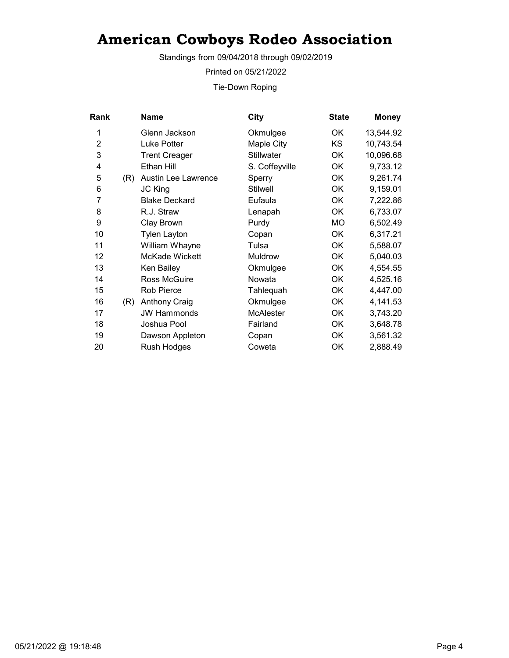Standings from 09/04/2018 through 09/02/2019

Printed on 05/21/2022

Tie-Down Roping

| <b>Rank</b>    |     | <b>Name</b>          | <b>City</b>       | <b>State</b> | <b>Money</b> |
|----------------|-----|----------------------|-------------------|--------------|--------------|
| 1              |     | Glenn Jackson        | Okmulgee          | OK           | 13,544.92    |
| $\overline{2}$ |     | Luke Potter          | Maple City        | KS           | 10,743.54    |
| 3              |     | <b>Trent Creager</b> | <b>Stillwater</b> | ОK           | 10,096.68    |
| 4              |     | Ethan Hill           | S. Coffeyville    | OK           | 9,733.12     |
| 5              | (R) | Austin Lee Lawrence  | Sperry            | OK           | 9,261.74     |
| 6              |     | <b>JC King</b>       | <b>Stilwell</b>   | <b>OK</b>    | 9,159.01     |
| 7              |     | <b>Blake Deckard</b> | Eufaula           | OK           | 7,222.86     |
| 8              |     | R.J. Straw           | Lenapah           | ОK           | 6,733.07     |
| 9              |     | Clay Brown           | Purdy             | <b>MO</b>    | 6,502.49     |
| 10             |     | <b>Tylen Layton</b>  | Copan             | OK           | 6,317.21     |
| 11             |     | William Whayne       | Tulsa             | OK           | 5,588.07     |
| 12             |     | McKade Wickett       | Muldrow           | <b>OK</b>    | 5,040.03     |
| 13             |     | Ken Bailey           | Okmulgee          | OK           | 4,554.55     |
| 14             |     | Ross McGuire         | Nowata            | OK           | 4,525.16     |
| 15             |     | <b>Rob Pierce</b>    | Tahlequah         | OK           | 4,447.00     |
| 16             | (R) | <b>Anthony Craig</b> | Okmulgee          | ОK           | 4,141.53     |
| 17             |     | <b>JW Hammonds</b>   | <b>McAlester</b>  | OK           | 3,743.20     |
| 18             |     | Joshua Pool          | Fairland          | OK           | 3,648.78     |
| 19             |     | Dawson Appleton      | Copan             | OK           | 3,561.32     |
| 20             |     | Rush Hodges          | Coweta            | OK           | 2,888.49     |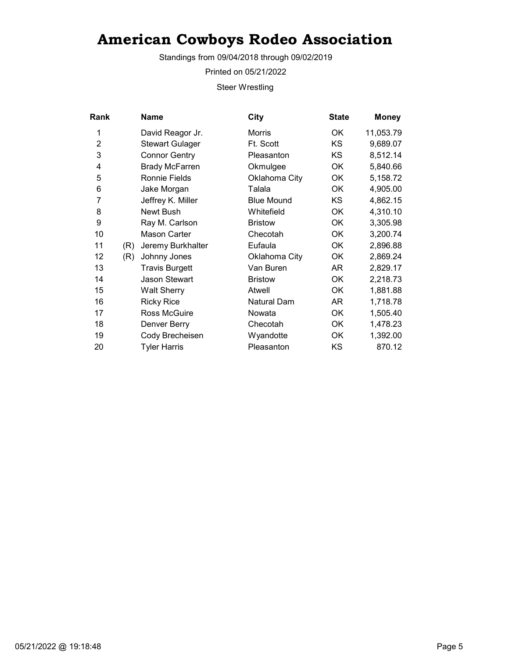Standings from 09/04/2018 through 09/02/2019

Printed on 05/21/2022

Steer Wrestling

| Rank           |     | Name                   | City              | <b>State</b> | <b>Money</b> |
|----------------|-----|------------------------|-------------------|--------------|--------------|
| 1              |     | David Reagor Jr.       | Morris            | ОK           | 11,053.79    |
| $\overline{2}$ |     | <b>Stewart Gulager</b> | Ft. Scott         | <b>KS</b>    | 9,689.07     |
| 3              |     | <b>Connor Gentry</b>   | Pleasanton        | KS           | 8,512.14     |
| 4              |     | <b>Brady McFarren</b>  | Okmulgee          | ОK           | 5,840.66     |
| 5              |     | Ronnie Fields          | Oklahoma City     | <b>OK</b>    | 5,158.72     |
| 6              |     | Jake Morgan            | Talala            | <b>OK</b>    | 4,905.00     |
| 7              |     | Jeffrey K. Miller      | <b>Blue Mound</b> | ΚS           | 4,862.15     |
| 8              |     | Newt Bush              | Whitefield        | OK           | 4,310.10     |
| 9              |     | Ray M. Carlson         | <b>Bristow</b>    | ОK           | 3,305.98     |
| 10             |     | <b>Mason Carter</b>    | Checotah          | <b>OK</b>    | 3,200.74     |
| 11             | (R) | Jeremy Burkhalter      | Eufaula           | <b>OK</b>    | 2,896.88     |
| 12             | (R) | Johnny Jones           | Oklahoma City     | ОK           | 2,869.24     |
| 13             |     | <b>Travis Burgett</b>  | Van Buren         | AR           | 2,829.17     |
| 14             |     | <b>Jason Stewart</b>   | <b>Bristow</b>    | <b>OK</b>    | 2,218.73     |
| 15             |     | <b>Walt Sherry</b>     | Atwell            | ОK           | 1,881.88     |
| 16             |     | <b>Ricky Rice</b>      | Natural Dam       | AR           | 1,718.78     |
| 17             |     | Ross McGuire           | Nowata            | <b>OK</b>    | 1,505.40     |
| 18             |     | Denver Berry           | Checotah          | <b>OK</b>    | 1,478.23     |
| 19             |     | Cody Brecheisen        | Wyandotte         | OK           | 1,392.00     |
| 20             |     | <b>Tyler Harris</b>    | Pleasanton        | KS           | 870.12       |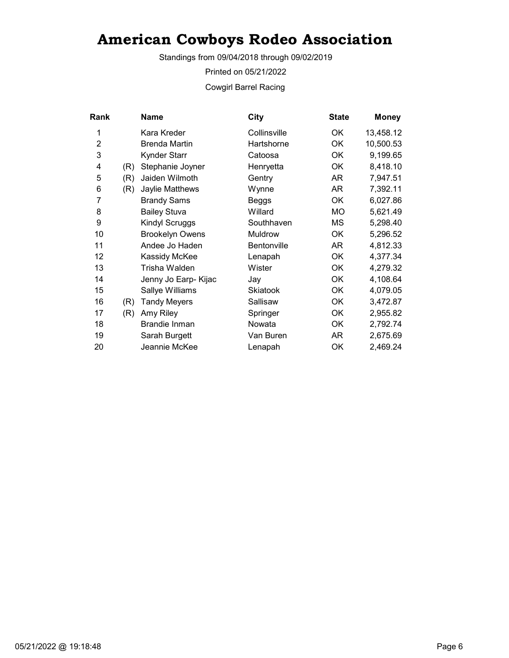Standings from 09/04/2018 through 09/02/2019

Printed on 05/21/2022

Cowgirl Barrel Racing

|     | Name                   | City               | <b>State</b> | <b>Money</b> |
|-----|------------------------|--------------------|--------------|--------------|
|     | Kara Kreder            | Collinsville       | ОK           | 13,458.12    |
|     | <b>Brenda Martin</b>   | Hartshorne         | <b>OK</b>    | 10,500.53    |
|     | Kynder Starr           | Catoosa            | ОK           | 9,199.65     |
| (R) | Stephanie Joyner       | Henryetta          | ОK           | 8,418.10     |
| (R) | Jaiden Wilmoth         | Gentry             | AR           | 7,947.51     |
| (R) | Jaylie Matthews        | Wynne              | AR           | 7,392.11     |
|     | <b>Brandy Sams</b>     | Beggs              | OK           | 6,027.86     |
|     | <b>Bailey Stuva</b>    | Willard            | <b>MO</b>    | 5,621.49     |
|     | Kindyl Scruggs         | Southhaven         | МS           | 5,298.40     |
|     | <b>Brookelyn Owens</b> | Muldrow            | ОK           | 5,296.52     |
|     | Andee Jo Haden         | <b>Bentonville</b> | AR           | 4,812.33     |
|     | Kassidy McKee          | Lenapah            | OK           | 4,377.34     |
|     | Trisha Walden          | Wister             | 0K           | 4,279.32     |
|     | Jenny Jo Earp- Kijac   | Jay                | OK           | 4,108.64     |
|     | Sallye Williams        | <b>Skiatook</b>    | OK           | 4,079.05     |
| (R) | <b>Tandy Meyers</b>    | Sallisaw           | ОK           | 3,472.87     |
| (R) | Amy Riley              | Springer           | <b>OK</b>    | 2,955.82     |
|     | <b>Brandie Inman</b>   | Nowata             | ОK           | 2,792.74     |
|     | Sarah Burgett          | Van Buren          | AR           | 2,675.69     |
|     | Jeannie McKee          | Lenapah            | OK           | 2,469.24     |
|     |                        |                    |              |              |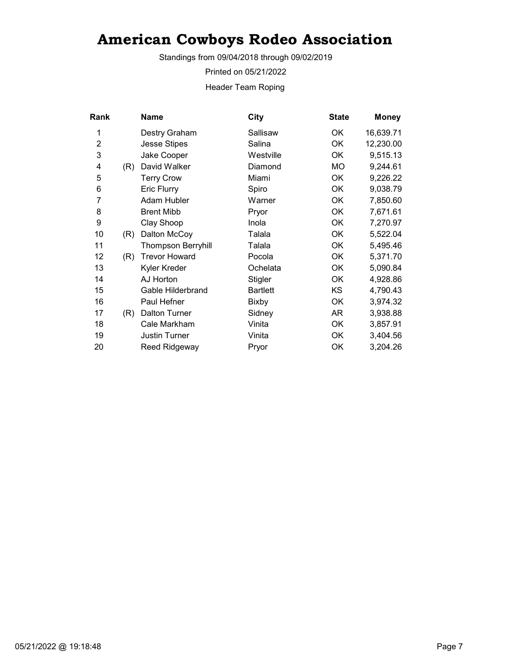Standings from 09/04/2018 through 09/02/2019

Printed on 05/21/2022

Header Team Roping

| Rank           |     | Name                      | <b>City</b>     | <b>State</b> | <b>Money</b> |
|----------------|-----|---------------------------|-----------------|--------------|--------------|
| 1              |     | Destry Graham             | Sallisaw        | OK.          | 16,639.71    |
| $\overline{2}$ |     | <b>Jesse Stipes</b>       | Salina          | OK           | 12,230.00    |
| 3              |     | Jake Cooper               | Westville       | OK           | 9,515.13     |
| 4              | (R) | David Walker              | Diamond         | <b>MO</b>    | 9,244.61     |
| 5              |     | <b>Terry Crow</b>         | Miami           | OK           | 9,226.22     |
| 6              |     | Eric Flurry               | Spiro           | OK           | 9,038.79     |
| 7              |     | Adam Hubler               | Warner          | OK           | 7,850.60     |
| 8              |     | <b>Brent Mibb</b>         | Pryor           | OK           | 7,671.61     |
| 9              |     | Clay Shoop                | Inola           | OK           | 7,270.97     |
| 10             | (R) | Dalton McCoy              | Talala          | OK           | 5,522.04     |
| 11             |     | <b>Thompson Berryhill</b> | Talala          | OK           | 5,495.46     |
| 12             | (R) | <b>Trevor Howard</b>      | Pocola          | 0K           | 5,371.70     |
| 13             |     | Kyler Kreder              | Ochelata        | OK           | 5,090.84     |
| 14             |     | AJ Horton                 | Stigler         | OK           | 4,928.86     |
| 15             |     | Gable Hilderbrand         | <b>Bartlett</b> | KS           | 4,790.43     |
| 16             |     | Paul Hefner               | Bixby           | OK           | 3,974.32     |
| 17             | (R) | <b>Dalton Turner</b>      | Sidney          | AR           | 3,938.88     |
| 18             |     | Cale Markham              | Vinita          | OK           | 3,857.91     |
| 19             |     | Justin Turner             | Vinita          | OK           | 3,404.56     |
| 20             |     | Reed Ridgeway             | Pryor           | OK           | 3,204.26     |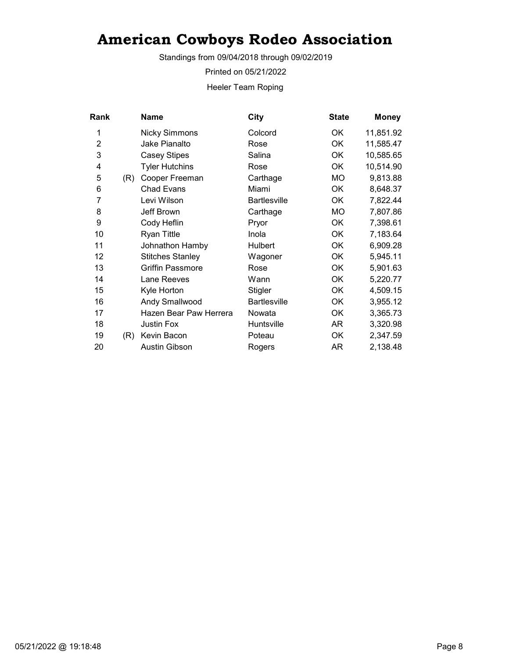Standings from 09/04/2018 through 09/02/2019

Printed on 05/21/2022

Heeler Team Roping

| <b>Rank</b>    |     | <b>Name</b>             | <b>City</b>         | <b>State</b> | <b>Money</b> |
|----------------|-----|-------------------------|---------------------|--------------|--------------|
| 1              |     | <b>Nicky Simmons</b>    | Colcord             | OK.          | 11,851.92    |
| $\overline{2}$ |     | Jake Pianalto           | Rose                | OK           | 11,585.47    |
| 3              |     | <b>Casey Stipes</b>     | Salina              | <b>OK</b>    | 10,585.65    |
| 4              |     | <b>Tyler Hutchins</b>   | Rose                | OK           | 10,514.90    |
| 5              | (R) | Cooper Freeman          | Carthage            | МO           | 9,813.88     |
| 6              |     | <b>Chad Evans</b>       | Miami               | OK           | 8,648.37     |
| 7              |     | Levi Wilson             | <b>Bartlesville</b> | OK           | 7,822.44     |
| 8              |     | Jeff Brown              | Carthage            | <b>MO</b>    | 7,807.86     |
| 9              |     | Cody Heflin             | Pryor               | OK           | 7,398.61     |
| 10             |     | <b>Ryan Tittle</b>      | Inola               | OK           | 7,183.64     |
| 11             |     | Johnathon Hamby         | Hulbert             | OK           | 6,909.28     |
| 12             |     | <b>Stitches Stanley</b> | Wagoner             | OK           | 5,945.11     |
| 13             |     | <b>Griffin Passmore</b> | Rose                | OK           | 5,901.63     |
| 14             |     | Lane Reeves             | Wann                | OK           | 5,220.77     |
| 15             |     | Kyle Horton             | Stigler             | OK           | 4,509.15     |
| 16             |     | Andy Smallwood          | <b>Bartlesville</b> | OK           | 3,955.12     |
| 17             |     | Hazen Bear Paw Herrera  | Nowata              | OK           | 3,365.73     |
| 18             |     | <b>Justin Fox</b>       | Huntsville          | AR           | 3,320.98     |
| 19             | (R) | Kevin Bacon             | Poteau              | OK           | 2,347.59     |
| 20             |     | <b>Austin Gibson</b>    | Rogers              | AR           | 2,138.48     |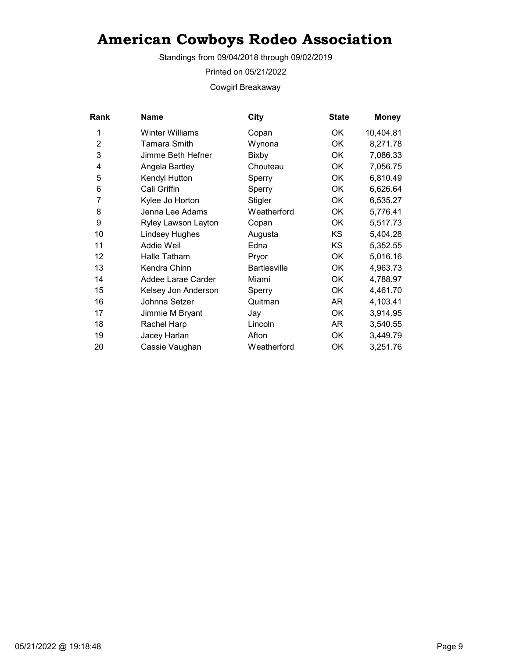Standings from 09/04/2018 through 09/02/2019

Printed on 05/21/2022

Cowgirl Breakaway

| <b>Rank</b>    | <b>Name</b>            | City                | <b>State</b> | <b>Money</b> |
|----------------|------------------------|---------------------|--------------|--------------|
| 1              | <b>Winter Williams</b> | Copan               | OK.          | 10,404.81    |
| $\overline{2}$ | Tamara Smith           | Wynona              | <b>OK</b>    | 8,271.78     |
| 3              | Jimme Beth Hefner      | <b>Bixby</b>        | OK           | 7,086.33     |
| 4              | Angela Bartley         | Chouteau            | OK           | 7,056.75     |
| 5              | Kendyl Hutton          | Sperry              | OK           | 6,810.49     |
| 6              | Cali Griffin           | Sperry              | OK           | 6,626.64     |
| 7              | Kylee Jo Horton        | <b>Stigler</b>      | OK           | 6,535.27     |
| 8              | Jenna Lee Adams        | Weatherford         | OK           | 5,776.41     |
| 9              | Ryley Lawson Layton    | Copan               | OK           | 5,517.73     |
| 10             | <b>Lindsey Hughes</b>  | Augusta             | <b>KS</b>    | 5,404.28     |
| 11             | Addie Weil             | Edna                | KS           | 5,352.55     |
| 12             | Halle Tatham           | Pryor               | OK           | 5,016.16     |
| 13             | Kendra Chinn           | <b>Bartlesville</b> | OK.          | 4,963.73     |
| 14             | Addee Larae Carder     | Miami               | OK           | 4,788.97     |
| 15             | Kelsey Jon Anderson    | Sperry              | OK           | 4,461.70     |
| 16             | Johnna Setzer          | Quitman             | AR           | 4,103.41     |
| 17             | Jimmie M Bryant        | Jay                 | OK           | 3,914.95     |
| 18             | Rachel Harp            | Lincoln             | AR           | 3,540.55     |
| 19             | Jacey Harlan           | Afton               | OK           | 3,449.79     |
| 20             | Cassie Vaughan         | Weatherford         | OK           | 3,251.76     |